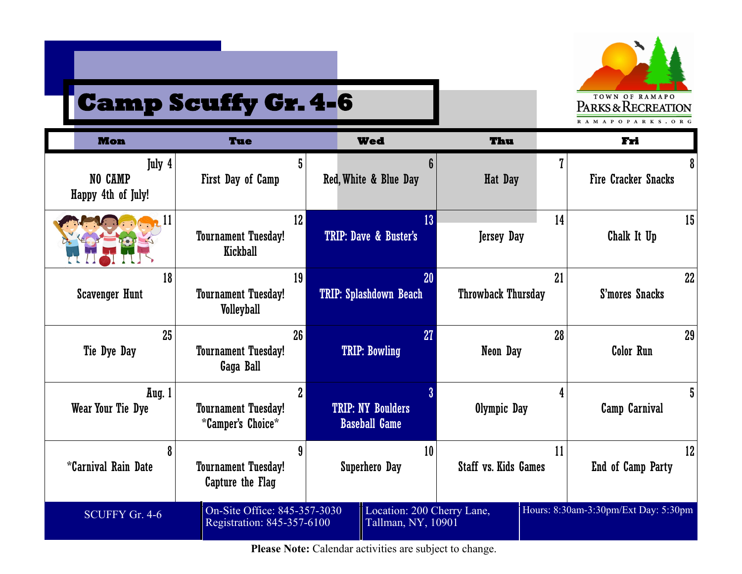

# **Camp Scuffy Gr. 4-6**

| <b>Mon</b>                              | Tue                                                                       | <b>Wed</b>                                       | Thu                               | Fri                                  |
|-----------------------------------------|---------------------------------------------------------------------------|--------------------------------------------------|-----------------------------------|--------------------------------------|
| July 4<br>NO CAMP<br>Happy 4th of July! | 5<br>First Day of Camp                                                    | 6<br>Red, White & Blue Day                       | <b>Hat Day</b>                    | 8<br><b>Fire Cracker Snacks</b>      |
|                                         | 12 <sup>°</sup><br><b>Tournament Tuesday!</b><br>Kickball                 | 13 <sup>°</sup><br>TRIP: Dave & Buster's         | 14<br><b>Jersey Day</b>           | 15<br>Chalk It Up                    |
| 18<br><b>Scavenger Hunt</b>             | 19<br><b>Tournament Tuesday!</b><br><b>Volleyball</b>                     | 20<br><b>TRIP: Splashdown Beach</b>              | 21<br><b>Throwback Thursday</b>   | 22<br>S'mores Snacks                 |
| 25<br>Tie Dye Day                       | 26 <sup>°</sup><br><b>Tournament Tuesday!</b><br>Gaga Ball                | 27<br><b>TRIP: Bowling</b>                       | 28<br>Neon Day                    | 29<br><b>Color Run</b>               |
| Aug. 1<br>Wear Your Tie Dye             | $\overline{2}$<br><b>Tournament Tuesday!</b><br><i>*</i> Camper's Choice* | <b>TRIP: NY Boulders</b><br><b>Baseball Game</b> | 4<br>Olympic Day                  | 5<br>Camp Carnival                   |
| 8<br><i>*</i> Carnival Rain Date        | 9<br><b>Tournament Tuesday!</b><br>Capture the Flag                       | 10<br><b>Superhero Day</b>                       | 11<br><b>Staff vs. Kids Games</b> | 12<br>End of Camp Party              |
| SCUFFY Gr. 4-6                          | On-Site Office: 845-357-3030<br>Registration: 845-357-6100                | Location: 200 Cherry Lane,<br>Tallman, NY, 10901 |                                   | Hours: 8:30am-3:30pm/Ext Day: 5:30pm |

Please Note: Calendar activities are subject to change.